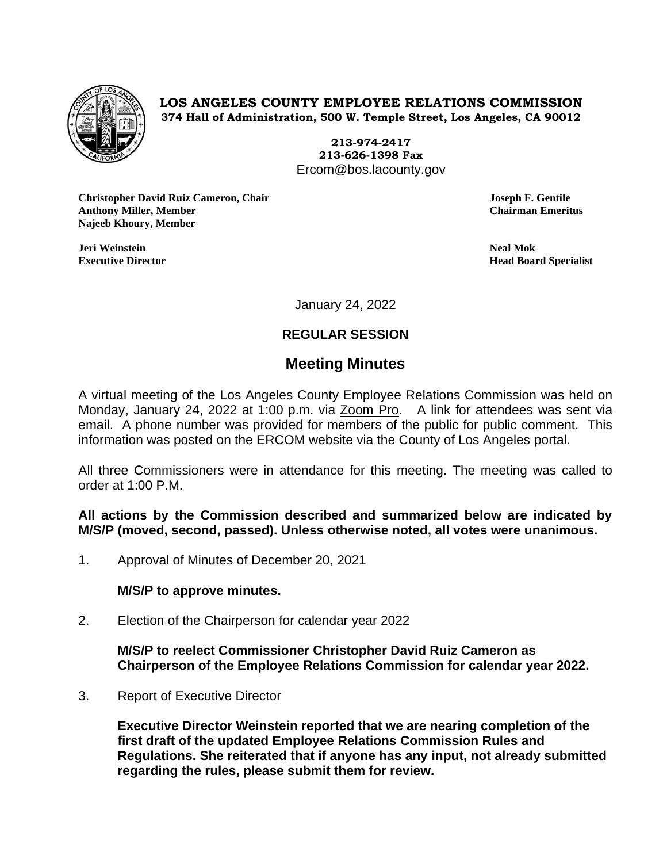

**LOS ANGELES COUNTY EMPLOYEE RELATIONS COMMISSION 374 Hall of Administration, 500 W. Temple Street, Los Angeles, CA 90012**

> **213-974-2417 213-626-1398 Fax** Ercom@bos.lacounty.gov

**Christopher David Ruiz Cameron, Chair Joseph F. Gentile Anthony Miller, Member Chairman Emeritus Najeeb Khoury, Member**

**Jeri Weinstein Neal Mok**

**Executive Director Head Board Specialist**

January 24, 2022

# **REGULAR SESSION**

# **Meeting Minutes**

A virtual meeting of the Los Angeles County Employee Relations Commission was held on Monday, January 24, 2022 at 1:00 p.m. via Zoom Pro. A link for attendees was sent via email. A phone number was provided for members of the public for public comment. This information was posted on the ERCOM website via the County of Los Angeles portal.

All three Commissioners were in attendance for this meeting. The meeting was called to order at 1:00 P.M.

**All actions by the Commission described and summarized below are indicated by M/S/P (moved, second, passed). Unless otherwise noted, all votes were unanimous.**

1. Approval of Minutes of December 20, 2021

### **M/S/P to approve minutes.**

2. Election of the Chairperson for calendar year 2022

**M/S/P to reelect Commissioner Christopher David Ruiz Cameron as Chairperson of the Employee Relations Commission for calendar year 2022.**

3. Report of Executive Director

**Executive Director Weinstein reported that we are nearing completion of the first draft of the updated Employee Relations Commission Rules and Regulations. She reiterated that if anyone has any input, not already submitted regarding the rules, please submit them for review.**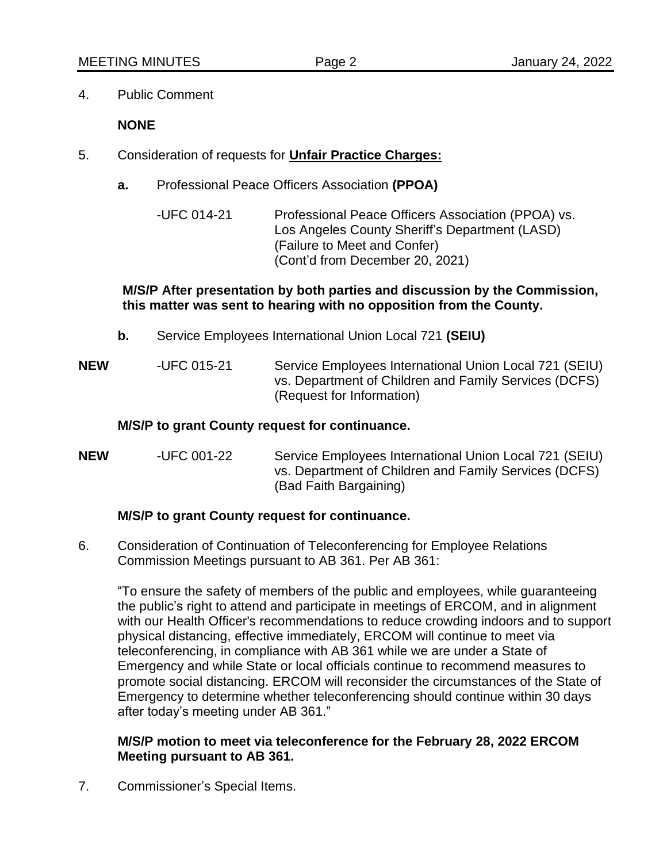4. Public Comment

**NONE**

- 5. Consideration of requests for **Unfair Practice Charges:**
	- **a.** Professional Peace Officers Association **(PPOA)**
		- -UFC 014-21 Professional Peace Officers Association (PPOA) vs. Los Angeles County Sheriff's Department (LASD) (Failure to Meet and Confer) (Cont'd from December 20, 2021)

#### **M/S/P After presentation by both parties and discussion by the Commission, this matter was sent to hearing with no opposition from the County.**

- **b.** Service Employees International Union Local 721 **(SEIU)**
- **NEW** -UFC 015-21 Service Employees International Union Local 721 (SEIU) vs. Department of Children and Family Services (DCFS) (Request for Information)

#### **M/S/P to grant County request for continuance.**

**NEW** -UFC 001-22 Service Employees International Union Local 721 (SEIU) vs. Department of Children and Family Services (DCFS) (Bad Faith Bargaining)

### **M/S/P to grant County request for continuance.**

6. Consideration of Continuation of Teleconferencing for Employee Relations Commission Meetings pursuant to AB 361. Per AB 361:

"To ensure the safety of members of the public and employees, while guaranteeing the public's right to attend and participate in meetings of ERCOM, and in alignment with our Health Officer's recommendations to reduce crowding indoors and to support physical distancing, effective immediately, ERCOM will continue to meet via teleconferencing, in compliance with AB 361 while we are under a State of Emergency and while State or local officials continue to recommend measures to promote social distancing. ERCOM will reconsider the circumstances of the State of Emergency to determine whether teleconferencing should continue within 30 days after today's meeting under AB 361."

#### **M/S/P motion to meet via teleconference for the February 28, 2022 ERCOM Meeting pursuant to AB 361.**

7. Commissioner's Special Items.